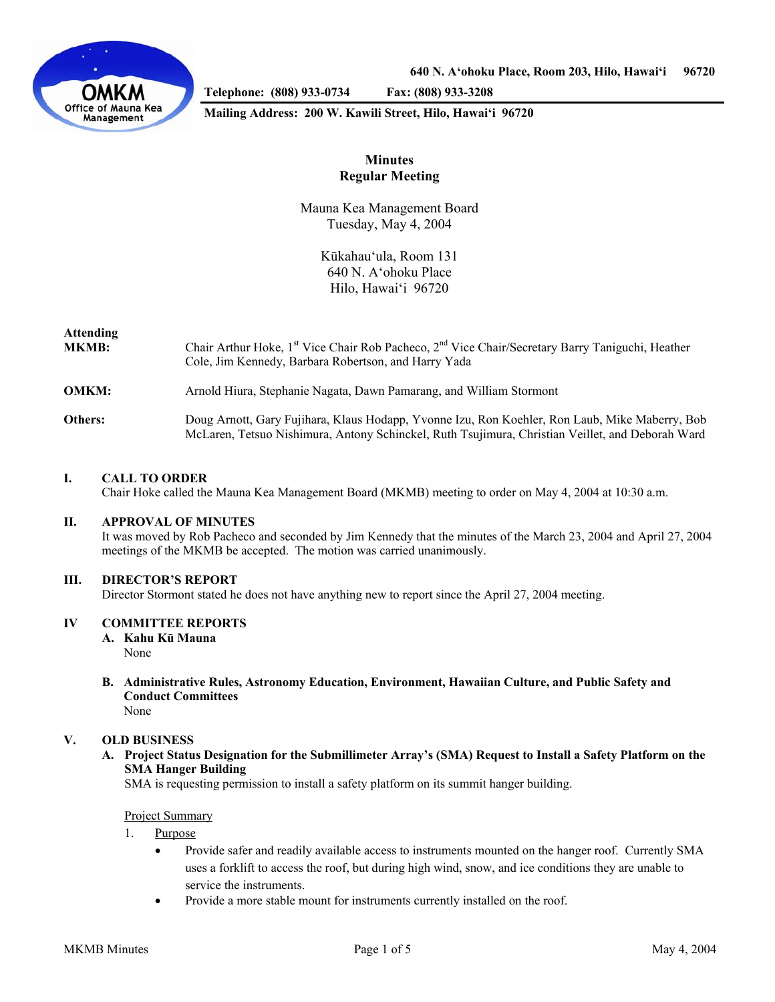

**Telephone: (808) 933-0734 Fax: (808) 933-3208** 

#### **Mailing Address: 200 W. Kawili Street, Hilo, Hawai'i 96720**

# **Minutes Regular Meeting**

Mauna Kea Management Board Tuesday, May 4, 2004

> Kūkahau'ula, Room 131 640 N. A'ohoku Place Hilo, Hawai'i 96720

# **Attending**

| <b>MKMB:</b> | Chair Arthur Hoke, 1 <sup>st</sup> Vice Chair Rob Pacheco, 2 <sup>nd</sup> Vice Chair/Secretary Barry Taniguchi, Heather<br>Cole, Jim Kennedy, Barbara Robertson, and Harry Yada                   |
|--------------|----------------------------------------------------------------------------------------------------------------------------------------------------------------------------------------------------|
| <b>OMKM:</b> | Arnold Hiura, Stephanie Nagata, Dawn Pamarang, and William Stormont                                                                                                                                |
| Others:      | Doug Arnott, Gary Fujihara, Klaus Hodapp, Yvonne Izu, Ron Koehler, Ron Laub, Mike Maberry, Bob<br>McLaren, Tetsuo Nishimura, Antony Schinckel, Ruth Tsujimura, Christian Veillet, and Deborah Ward |

# **I. CALL TO ORDER**

Chair Hoke called the Mauna Kea Management Board (MKMB) meeting to order on May 4, 2004 at 10:30 a.m.

### **II. APPROVAL OF MINUTES**

 It was moved by Rob Pacheco and seconded by Jim Kennedy that the minutes of the March 23, 2004 and April 27, 2004 meetings of the MKMB be accepted. The motion was carried unanimously.

#### **III. DIRECTOR'S REPORT**

Director Stormont stated he does not have anything new to report since the April 27, 2004 meeting.

### **IV COMMITTEE REPORTS**

 **A. Kahu Kū Mauna** None

**B. Administrative Rules, Astronomy Education, Environment, Hawaiian Culture, and Public Safety and Conduct Committees**  None

### **V. OLD BUSINESS**

 **A. Project Status Designation for the Submillimeter Array's (SMA) Request to Install a Safety Platform on the SMA Hanger Building** 

SMA is requesting permission to install a safety platform on its summit hanger building.

#### Project Summary

- 1. Purpose
	- Provide safer and readily available access to instruments mounted on the hanger roof. Currently SMA uses a forklift to access the roof, but during high wind, snow, and ice conditions they are unable to service the instruments.
	- Provide a more stable mount for instruments currently installed on the roof.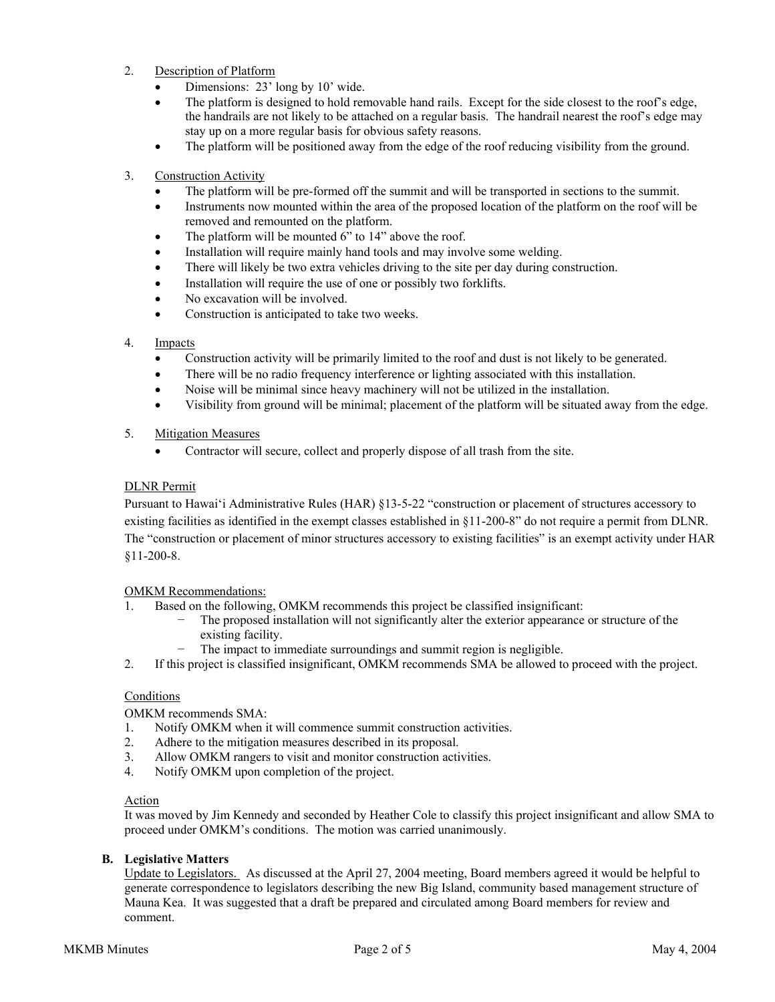- 2. Description of Platform
	- Dimensions: 23' long by 10' wide.
	- The platform is designed to hold removable hand rails. Except for the side closest to the roof's edge, the handrails are not likely to be attached on a regular basis. The handrail nearest the roof's edge may stay up on a more regular basis for obvious safety reasons.
	- The platform will be positioned away from the edge of the roof reducing visibility from the ground.
- 3. Construction Activity
	- The platform will be pre-formed off the summit and will be transported in sections to the summit.
	- Instruments now mounted within the area of the proposed location of the platform on the roof will be removed and remounted on the platform.
	- The platform will be mounted 6" to 14" above the roof.
	- Installation will require mainly hand tools and may involve some welding.
	- There will likely be two extra vehicles driving to the site per day during construction.
	- Installation will require the use of one or possibly two forklifts.
	- No excavation will be involved.
	- Construction is anticipated to take two weeks.

### 4. Impacts

- Construction activity will be primarily limited to the roof and dust is not likely to be generated.
- There will be no radio frequency interference or lighting associated with this installation.
- Noise will be minimal since heavy machinery will not be utilized in the installation.
- Visibility from ground will be minimal; placement of the platform will be situated away from the edge.

# 5. Mitigation Measures

• Contractor will secure, collect and properly dispose of all trash from the site.

# DLNR Permit

Pursuant to Hawai'i Administrative Rules (HAR) §13-5-22 "construction or placement of structures accessory to existing facilities as identified in the exempt classes established in §11-200-8" do not require a permit from DLNR. The "construction or placement of minor structures accessory to existing facilities" is an exempt activity under HAR §11-200-8.

### OMKM Recommendations:

- 1. Based on the following, OMKM recommends this project be classified insignificant:
	- The proposed installation will not significantly alter the exterior appearance or structure of the existing facility.
	- − The impact to immediate surroundings and summit region is negligible.
- 2. If this project is classified insignificant, OMKM recommends SMA be allowed to proceed with the project.

# **Conditions**

OMKM recommends SMA:

- 1. Notify OMKM when it will commence summit construction activities.
- 2. Adhere to the mitigation measures described in its proposal.
- 3. Allow OMKM rangers to visit and monitor construction activities.
- 4. Notify OMKM upon completion of the project.

### Action

It was moved by Jim Kennedy and seconded by Heather Cole to classify this project insignificant and allow SMA to proceed under OMKM's conditions. The motion was carried unanimously.

### **B. Legislative Matters**

 Update to Legislators. As discussed at the April 27, 2004 meeting, Board members agreed it would be helpful to generate correspondence to legislators describing the new Big Island, community based management structure of Mauna Kea. It was suggested that a draft be prepared and circulated among Board members for review and comment.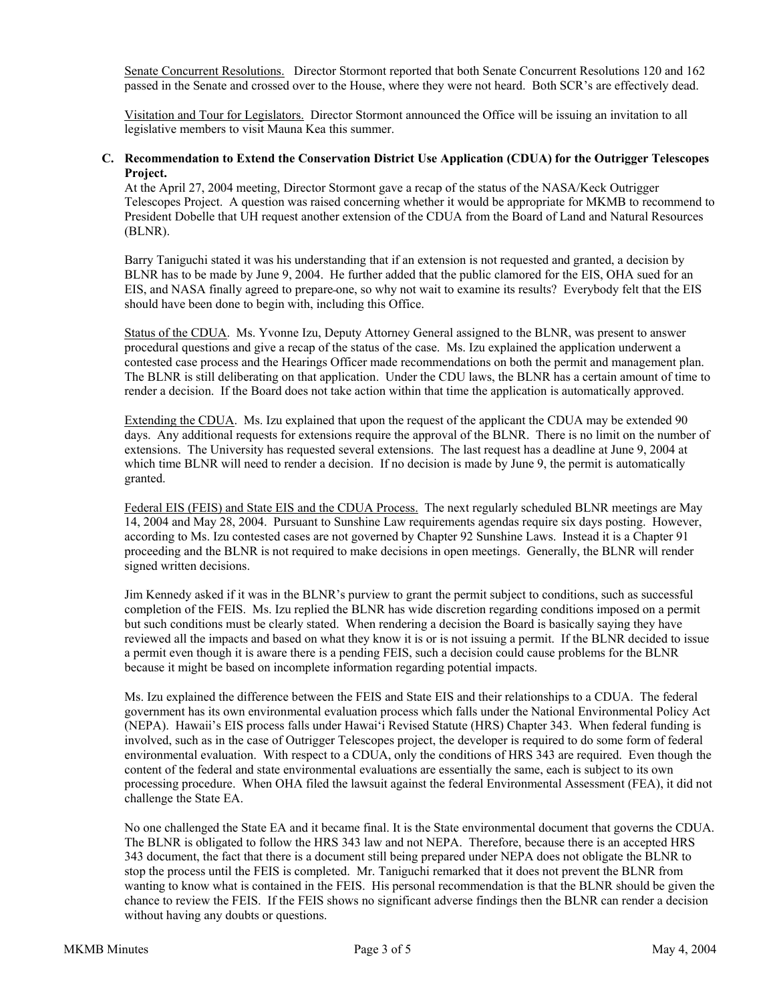Senate Concurrent Resolutions. Director Stormont reported that both Senate Concurrent Resolutions 120 and 162 passed in the Senate and crossed over to the House, where they were not heard. Both SCR's are effectively dead.

 Visitation and Tour for Legislators. Director Stormont announced the Office will be issuing an invitation to all legislative members to visit Mauna Kea this summer.

### **C. Recommendation to Extend the Conservation District Use Application (CDUA) for the Outrigger Telescopes Project.**

At the April 27, 2004 meeting, Director Stormont gave a recap of the status of the NASA/Keck Outrigger Telescopes Project. A question was raised concerning whether it would be appropriate for MKMB to recommend to President Dobelle that UH request another extension of the CDUA from the Board of Land and Natural Resources (BLNR).

Barry Taniguchi stated it was his understanding that if an extension is not requested and granted, a decision by BLNR has to be made by June 9, 2004. He further added that the public clamored for the EIS, OHA sued for an EIS, and NASA finally agreed to prepare one, so why not wait to examine its results? Everybody felt that the EIS should have been done to begin with, including this Office.

 Status of the CDUA. Ms. Yvonne Izu, Deputy Attorney General assigned to the BLNR, was present to answer procedural questions and give a recap of the status of the case. Ms. Izu explained the application underwent a contested case process and the Hearings Officer made recommendations on both the permit and management plan. The BLNR is still deliberating on that application. Under the CDU laws, the BLNR has a certain amount of time to render a decision. If the Board does not take action within that time the application is automatically approved.

 Extending the CDUA. Ms. Izu explained that upon the request of the applicant the CDUA may be extended 90 days. Any additional requests for extensions require the approval of the BLNR. There is no limit on the number of extensions. The University has requested several extensions. The last request has a deadline at June 9, 2004 at which time BLNR will need to render a decision. If no decision is made by June 9, the permit is automatically granted.

 Federal EIS (FEIS) and State EIS and the CDUA Process. The next regularly scheduled BLNR meetings are May 14, 2004 and May 28, 2004. Pursuant to Sunshine Law requirements agendas require six days posting. However, according to Ms. Izu contested cases are not governed by Chapter 92 Sunshine Laws. Instead it is a Chapter 91 proceeding and the BLNR is not required to make decisions in open meetings. Generally, the BLNR will render signed written decisions.

 Jim Kennedy asked if it was in the BLNR's purview to grant the permit subject to conditions, such as successful completion of the FEIS. Ms. Izu replied the BLNR has wide discretion regarding conditions imposed on a permit but such conditions must be clearly stated. When rendering a decision the Board is basically saying they have reviewed all the impacts and based on what they know it is or is not issuing a permit. If the BLNR decided to issue a permit even though it is aware there is a pending FEIS, such a decision could cause problems for the BLNR because it might be based on incomplete information regarding potential impacts.

 Ms. Izu explained the difference between the FEIS and State EIS and their relationships to a CDUA. The federal government has its own environmental evaluation process which falls under the National Environmental Policy Act (NEPA). Hawaii's EIS process falls under Hawai'i Revised Statute (HRS) Chapter 343. When federal funding is involved, such as in the case of Outrigger Telescopes project, the developer is required to do some form of federal environmental evaluation. With respect to a CDUA, only the conditions of HRS 343 are required. Even though the content of the federal and state environmental evaluations are essentially the same, each is subject to its own processing procedure. When OHA filed the lawsuit against the federal Environmental Assessment (FEA), it did not challenge the State EA.

 No one challenged the State EA and it became final. It is the State environmental document that governs the CDUA. The BLNR is obligated to follow the HRS 343 law and not NEPA. Therefore, because there is an accepted HRS 343 document, the fact that there is a document still being prepared under NEPA does not obligate the BLNR to stop the process until the FEIS is completed. Mr. Taniguchi remarked that it does not prevent the BLNR from wanting to know what is contained in the FEIS. His personal recommendation is that the BLNR should be given the chance to review the FEIS. If the FEIS shows no significant adverse findings then the BLNR can render a decision without having any doubts or questions.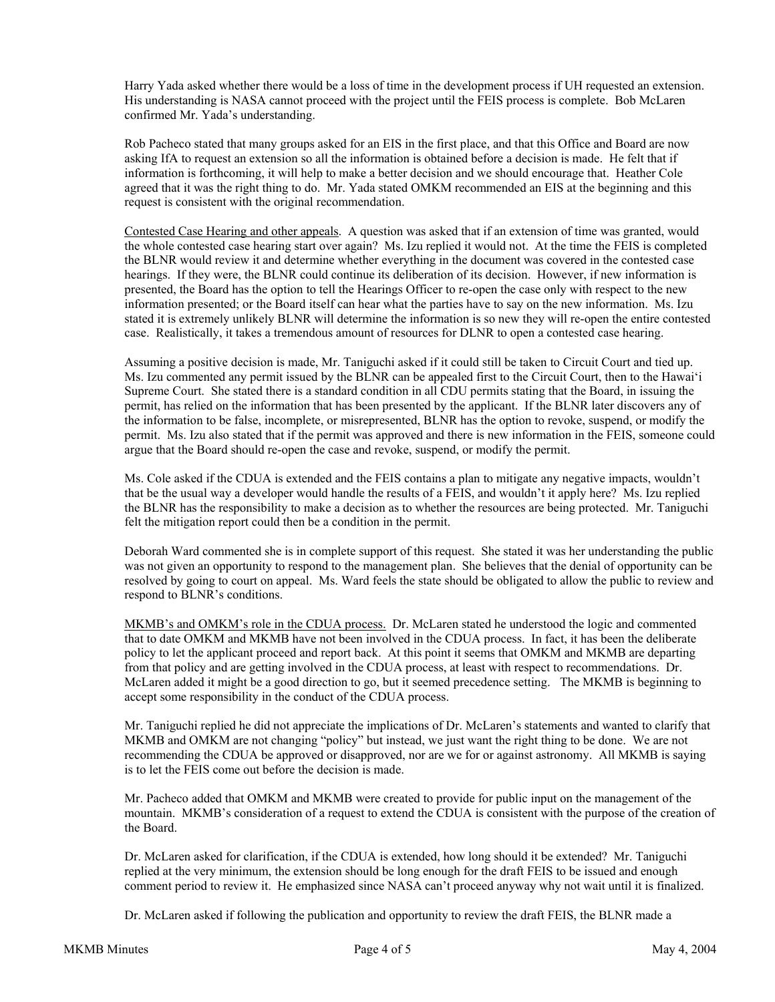Harry Yada asked whether there would be a loss of time in the development process if UH requested an extension. His understanding is NASA cannot proceed with the project until the FEIS process is complete. Bob McLaren confirmed Mr. Yada's understanding.

 Rob Pacheco stated that many groups asked for an EIS in the first place, and that this Office and Board are now asking IfA to request an extension so all the information is obtained before a decision is made. He felt that if information is forthcoming, it will help to make a better decision and we should encourage that. Heather Cole agreed that it was the right thing to do. Mr. Yada stated OMKM recommended an EIS at the beginning and this request is consistent with the original recommendation.

 Contested Case Hearing and other appeals. A question was asked that if an extension of time was granted, would the whole contested case hearing start over again? Ms. Izu replied it would not. At the time the FEIS is completed the BLNR would review it and determine whether everything in the document was covered in the contested case hearings. If they were, the BLNR could continue its deliberation of its decision. However, if new information is presented, the Board has the option to tell the Hearings Officer to re-open the case only with respect to the new information presented; or the Board itself can hear what the parties have to say on the new information. Ms. Izu stated it is extremely unlikely BLNR will determine the information is so new they will re-open the entire contested case. Realistically, it takes a tremendous amount of resources for DLNR to open a contested case hearing.

 Assuming a positive decision is made, Mr. Taniguchi asked if it could still be taken to Circuit Court and tied up. Ms. Izu commented any permit issued by the BLNR can be appealed first to the Circuit Court, then to the Hawai'i Supreme Court. She stated there is a standard condition in all CDU permits stating that the Board, in issuing the permit, has relied on the information that has been presented by the applicant. If the BLNR later discovers any of the information to be false, incomplete, or misrepresented, BLNR has the option to revoke, suspend, or modify the permit. Ms. Izu also stated that if the permit was approved and there is new information in the FEIS, someone could argue that the Board should re-open the case and revoke, suspend, or modify the permit.

 Ms. Cole asked if the CDUA is extended and the FEIS contains a plan to mitigate any negative impacts, wouldn't that be the usual way a developer would handle the results of a FEIS, and wouldn't it apply here? Ms. Izu replied the BLNR has the responsibility to make a decision as to whether the resources are being protected. Mr. Taniguchi felt the mitigation report could then be a condition in the permit.

Deborah Ward commented she is in complete support of this request. She stated it was her understanding the public was not given an opportunity to respond to the management plan. She believes that the denial of opportunity can be resolved by going to court on appeal. Ms. Ward feels the state should be obligated to allow the public to review and respond to BLNR's conditions.

 MKMB's and OMKM's role in the CDUA process. Dr. McLaren stated he understood the logic and commented that to date OMKM and MKMB have not been involved in the CDUA process. In fact, it has been the deliberate policy to let the applicant proceed and report back. At this point it seems that OMKM and MKMB are departing from that policy and are getting involved in the CDUA process, at least with respect to recommendations. Dr. McLaren added it might be a good direction to go, but it seemed precedence setting. The MKMB is beginning to accept some responsibility in the conduct of the CDUA process.

 Mr. Taniguchi replied he did not appreciate the implications of Dr. McLaren's statements and wanted to clarify that MKMB and OMKM are not changing "policy" but instead, we just want the right thing to be done. We are not recommending the CDUA be approved or disapproved, nor are we for or against astronomy. All MKMB is saying is to let the FEIS come out before the decision is made.

 Mr. Pacheco added that OMKM and MKMB were created to provide for public input on the management of the mountain. MKMB's consideration of a request to extend the CDUA is consistent with the purpose of the creation of the Board.

 Dr. McLaren asked for clarification, if the CDUA is extended, how long should it be extended? Mr. Taniguchi replied at the very minimum, the extension should be long enough for the draft FEIS to be issued and enough comment period to review it. He emphasized since NASA can't proceed anyway why not wait until it is finalized.

Dr. McLaren asked if following the publication and opportunity to review the draft FEIS, the BLNR made a